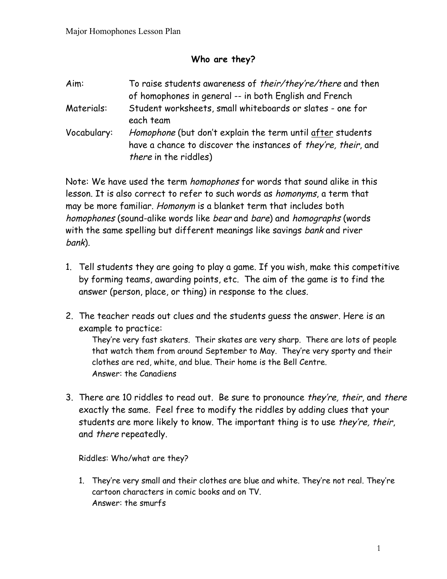## **Who are they?**

| Aim:        | To raise students awareness of their/they're/there and then<br>of homophones in general -- in both English and French                                        |
|-------------|--------------------------------------------------------------------------------------------------------------------------------------------------------------|
| Materials:  | Student worksheets, small whiteboards or slates - one for<br>each team                                                                                       |
| Vocabulary: | Homophone (but don't explain the term until after students<br>have a chance to discover the instances of they're, their, and<br><i>there</i> in the riddles) |

Note: We have used the term homophones for words that sound alike in this lesson. It is also correct to refer to such words as homonyms, a term that may be more familiar. Homonym is a blanket term that includes both homophones (sound-alike words like bear and bare) and homographs (words with the same spelling but different meanings like savings bank and river bank).

- 1. Tell students they are going to play a game. If you wish, make this competitive by forming teams, awarding points, etc. The aim of the game is to find the answer (person, place, or thing) in response to the clues.
- 2. The teacher reads out clues and the students guess the answer. Here is an example to practice:

They're very fast skaters. Their skates are very sharp. There are lots of people that watch them from around September to May. They're very sporty and their clothes are red, white, and blue. Their home is the Bell Centre. Answer: the Canadiens

3. There are 10 riddles to read out. Be sure to pronounce they're, their, and there exactly the same. Feel free to modify the riddles by adding clues that your students are more likely to know. The important thing is to use they're, their, and there repeatedly.

Riddles: Who/what are they?

1. They're very small and their clothes are blue and white. They're not real. They're cartoon characters in comic books and on TV. Answer: the smurfs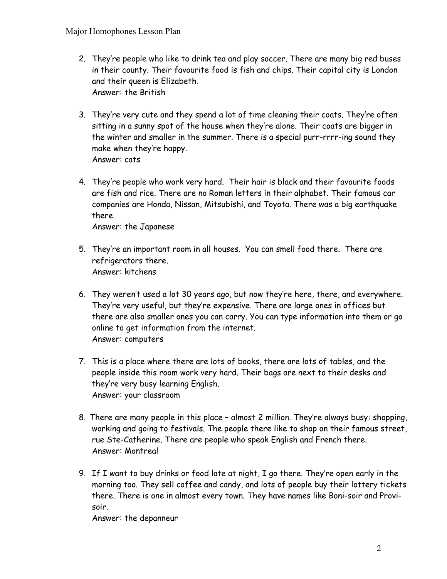- 2. They're people who like to drink tea and play soccer. There are many big red buses in their county. Their favourite food is fish and chips. Their capital city is London and their queen is Elizabeth. Answer: the British
- 3. They're very cute and they spend a lot of time cleaning their coats. They're often sitting in a sunny spot of the house when they're alone. Their coats are bigger in the winter and smaller in the summer. There is a special purr-rrrr-ing sound they make when they're happy. Answer: cats
- 4. They're people who work very hard. Their hair is black and their favourite foods are fish and rice. There are no Roman letters in their alphabet. Their famous car companies are Honda, Nissan, Mitsubishi, and Toyota. There was a big earthquake there.

Answer: the Japanese

- 5. They're an important room in all houses. You can smell food there. There are refrigerators there. Answer: kitchens
- 6. They weren't used a lot 30 years ago, but now they're here, there, and everywhere. They're very useful, but they're expensive. There are large ones in offices but there are also smaller ones you can carry. You can type information into them or go online to get information from the internet. Answer: computers
- 7. This is a place where there are lots of books, there are lots of tables, and the people inside this room work very hard. Their bags are next to their desks and they're very busy learning English. Answer: your classroom
- 8. There are many people in this place almost 2 million. They're always busy: shopping, working and going to festivals. The people there like to shop on their famous street, rue Ste-Catherine. There are people who speak English and French there. Answer: Montreal
- 9. If I want to buy drinks or food late at night, I go there. They're open early in the morning too. They sell coffee and candy, and lots of people buy their lottery tickets there. There is one in almost every town. They have names like Boni-soir and Provisoir.

Answer: the depanneur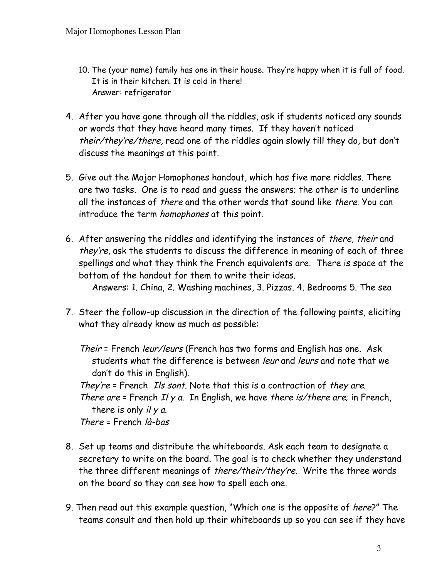- 10. The (your name) family has one in their house. They're happy when it is full of food. It is in their kitchen. It is cold in there! Answer: refrigerator
- 4. After you have gone through all the riddles, ask if students noticed any sounds or words that they have heard many times. If they haven't noticed their/they're/there, read one of the riddles again slowly till they do, but don't discuss the meanings at this point.
- 5. Give out the Major Homophones handout, which has five more riddles. There are two tasks. One is to read and guess the answers; the other is to underline all the instances of *there* and the other words that sound like *there*. You can introduce the term homophones at this point.
- 6. After answering the riddles and identifying the instances of there, their and they're, ask the students to discuss the difference in meaning of each of three spellings and what they think the French equivalents are. There is space at the bottom of the handout for them to write their ideas.

Answers: 1. China, 2. Washing machines, 3. Pizzas. 4. Bedrooms 5. The sea

7. Steer the follow-up discussion in the direction of the following points, eliciting what they already know as much as possible:

Their = French leur/leurs (French has two forms and English has one. Ask students what the difference is between leur and leurs and note that we don't do this in English).

They're = French Ils sont. Note that this is a contraction of they are.

There are  $=$  French II y a. In English, we have there is/there are; in French, there is only  $i/y a$ .

There = French là-bas

- 8. Set up teams and distribute the whiteboards. Ask each team to designate a secretary to write on the board. The goal is to check whether they understand the three different meanings of there/their/they're. Write the three words on the board so they can see how to spell each one.
- 9. Then read out this example question, "Which one is the opposite of here?" The teams consult and then hold up their whiteboards up so you can see if they have